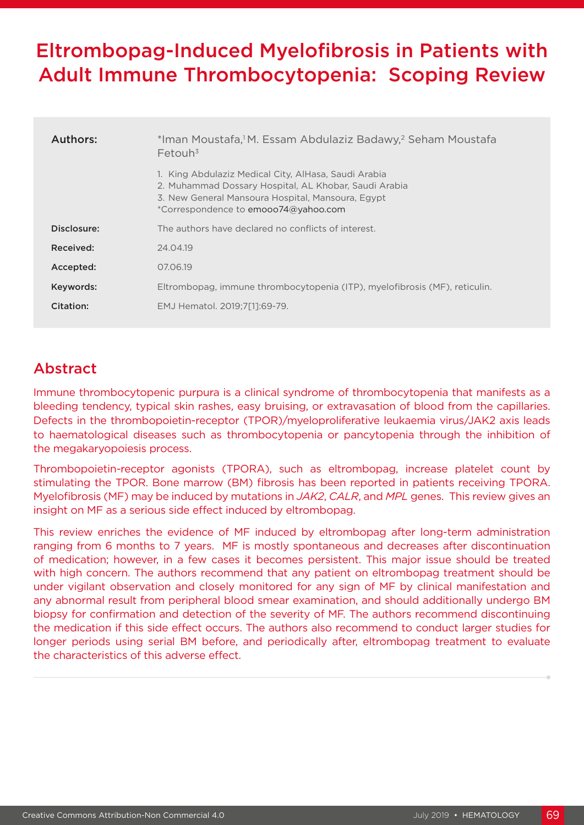# Eltrombopag-Induced Myelofibrosis in Patients with Adult Immune Thrombocytopenia: Scoping Review

| Authors:    | *Iman Moustafa, <sup>1</sup> M. Essam Abdulaziz Badawy, <sup>2</sup> Seham Moustafa<br>$F$ etouh <sup>3</sup>                                                                                              |  |  |
|-------------|------------------------------------------------------------------------------------------------------------------------------------------------------------------------------------------------------------|--|--|
|             | 1. King Abdulaziz Medical City, AlHasa, Saudi Arabia<br>2. Muhammad Dossary Hospital, AL Khobar, Saudi Arabia<br>3. New General Mansoura Hospital, Mansoura, Egypt<br>*Correspondence to emooo74@yahoo.com |  |  |
| Disclosure: | The authors have declared no conflicts of interest.                                                                                                                                                        |  |  |
| Received:   | 24.04.19                                                                                                                                                                                                   |  |  |
| Accepted:   | 07.06.19                                                                                                                                                                                                   |  |  |
| Keywords:   | Eltrombopag, immune thrombocytopenia (ITP), myelofibrosis (MF), reticulin.                                                                                                                                 |  |  |
| Citation:   | EMJ Hematol. 2019;7[1]:69-79.                                                                                                                                                                              |  |  |

# Abstract

Immune thrombocytopenic purpura is a clinical syndrome of thrombocytopenia that manifests as a bleeding tendency, typical skin rashes, easy bruising, or extravasation of blood from the capillaries. Defects in the thrombopoietin-receptor (TPOR)/myeloproliferative leukaemia virus/JAK2 axis leads to haematological diseases such as thrombocytopenia or pancytopenia through the inhibition of the megakaryopoiesis process.

Thrombopoietin-receptor agonists (TPORA), such as eltrombopag, increase platelet count by stimulating the TPOR. Bone marrow (BM) fibrosis has been reported in patients receiving TPORA. Myelofibrosis (MF) may be induced by mutations in *JAK2*, *CALR*, and *MPL* genes. This review gives an insight on MF as a serious side effect induced by eltrombopag.

This review enriches the evidence of MF induced by eltrombopag after long-term administration ranging from 6 months to 7 years. MF is mostly spontaneous and decreases after discontinuation of medication; however, in a few cases it becomes persistent. This major issue should be treated with high concern. The authors recommend that any patient on eltrombopag treatment should be under vigilant observation and closely monitored for any sign of MF by clinical manifestation and any abnormal result from peripheral blood smear examination, and should additionally undergo BM biopsy for confirmation and detection of the severity of MF. The authors recommend discontinuing the medication if this side effect occurs. The authors also recommend to conduct larger studies for longer periods using serial BM before, and periodically after, eltrombopag treatment to evaluate the characteristics of this adverse effect.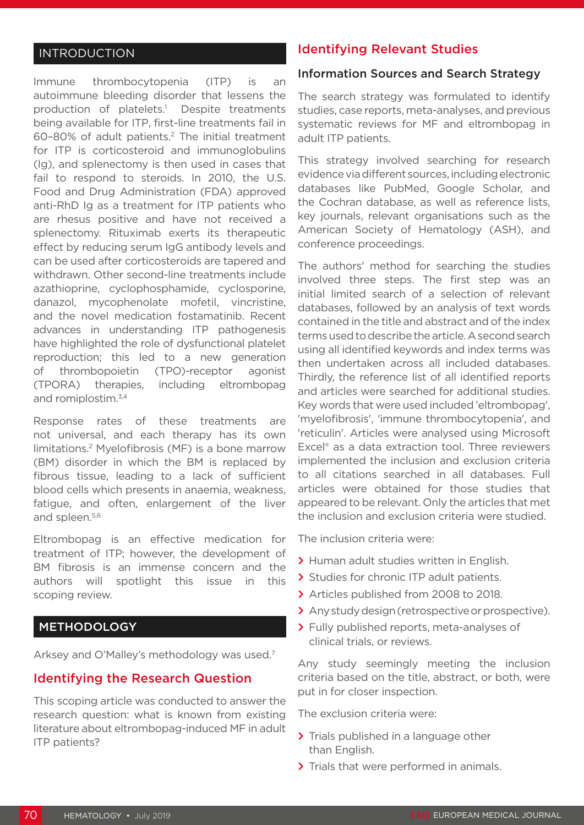# INTRODUCTION

Immune thrombocytopenia (ITP) is an autoimmune bleeding disorder that lessens the production of platelets.<sup>1</sup> Despite treatments being available for ITP, first-line treatments fail in 60–80% of adult patients.2 The initial treatment for ITP is corticosteroid and immunoglobulins (Ig), and splenectomy is then used in cases that fail to respond to steroids. In 2010, the U.S. Food and Drug Administration (FDA) approved anti-RhD Ig as a treatment for ITP patients who are rhesus positive and have not received a splenectomy. Rituximab exerts its therapeutic effect by reducing serum IgG antibody levels and can be used after corticosteroids are tapered and withdrawn. Other second-line treatments include azathioprine, cyclophosphamide, cyclosporine, danazol, mycophenolate mofetil, vincristine, and the novel medication fostamatinib. Recent advances in understanding ITP pathogenesis have highlighted the role of dysfunctional platelet reproduction; this led to a new generation thrombopoietin (TPO)-receptor agonist (TPORA) therapies, including eltrombopag and romiplostim.<sup>3,4</sup>

Response rates of these treatments are not universal, and each therapy has its own limitations.2 Myelofibrosis (MF) is a bone marrow (BM) disorder in which the BM is replaced by fibrous tissue, leading to a lack of sufficient blood cells which presents in anaemia, weakness, fatigue, and often, enlargement of the liver and spleen.5,6

Eltrombopag is an effective medication for treatment of ITP; however, the development of BM fibrosis is an immense concern and the authors will spotlight this issue in this scoping review.

#### METHODOLOGY

Arksey and O'Malley's methodology was used.7

#### Identifying the Research Question

This scoping article was conducted to answer the research question: what is known from existing literature about eltrombopag-induced MF in adult ITP patients?

### Identifying Relevant Studies

#### Information Sources and Search Strategy

The search strategy was formulated to identify studies, case reports, meta-analyses, and previous systematic reviews for MF and eltrombopag in adult ITP patients.

This strategy involved searching for research evidence via different sources, including electronic databases like PubMed, Google Scholar, and the Cochran database, as well as reference lists, key journals, relevant organisations such as the American Society of Hematology (ASH), and conference proceedings.

The authors' method for searching the studies involved three steps. The first step was an initial limited search of a selection of relevant databases, followed by an analysis of text words contained in the title and abstract and of the index terms used to describe the article. A second search using all identified keywords and index terms was then undertaken across all included databases. Thirdly, the reference list of all identified reports and articles were searched for additional studies. Key words that were used included 'eltrombopag', 'myelofibrosis', 'immune thrombocytopenia', and 'reticulin'. Articles were analysed using Microsoft Excel® as a data extraction tool. Three reviewers implemented the inclusion and exclusion criteria to all citations searched in all databases. Full articles were obtained for those studies that appeared to be relevant. Only the articles that met the inclusion and exclusion criteria were studied.

The inclusion criteria were:

- **>** Human adult studies written in English.
- **>** Studies for chronic ITP adult patients.
- **>** Articles published from 2008 to 2018.
- **>** Any study design (retrospective or prospective).
- **>** Fully published reports, meta-analyses of clinical trials, or reviews.

Any study seemingly meeting the inclusion criteria based on the title, abstract, or both, were put in for closer inspection.

The exclusion criteria were:

- **>** Trials published in a language other than English.
- **>** Trials that were performed in animals.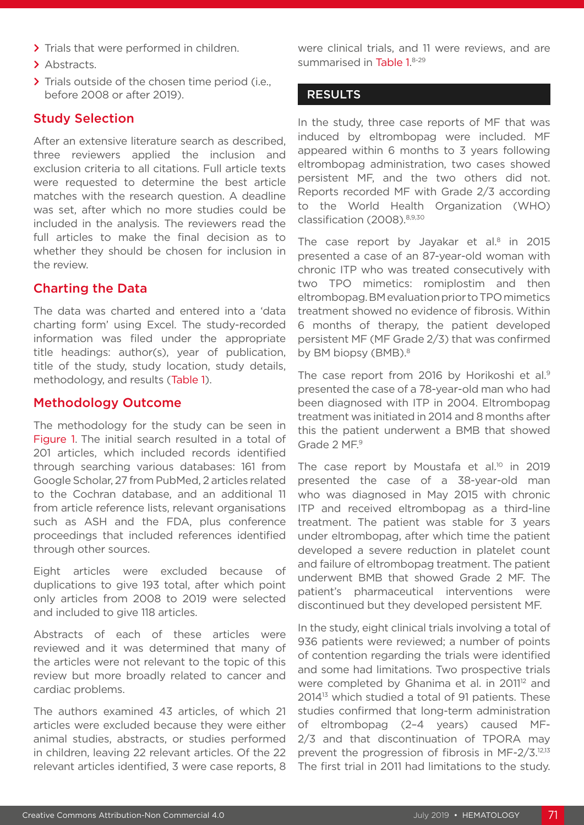- **>** Trials that were performed in children.
- **>** Abstracts.
- **>** Trials outside of the chosen time period (i.e., before 2008 or after 2019).

#### Study Selection

After an extensive literature search as described, three reviewers applied the inclusion and exclusion criteria to all citations. Full article texts were requested to determine the best article matches with the research question. A deadline was set, after which no more studies could be included in the analysis. The reviewers read the full articles to make the final decision as to whether they should be chosen for inclusion in the review.

#### Charting the Data

The data was charted and entered into a 'data charting form' using Excel. The study-recorded information was filed under the appropriate title headings: author(s), year of publication, title of the study, study location, study details, methodology, and results (Table 1).

#### Methodology Outcome

The methodology for the study can be seen in Figure 1. The initial search resulted in a total of 201 articles, which included records identified through searching various databases: 161 from Google Scholar, 27 from PubMed, 2 articles related to the Cochran database, and an additional 11 from article reference lists, relevant organisations such as ASH and the FDA, plus conference proceedings that included references identified through other sources.

Eight articles were excluded because of duplications to give 193 total, after which point only articles from 2008 to 2019 were selected and included to give 118 articles.

Abstracts of each of these articles were reviewed and it was determined that many of the articles were not relevant to the topic of this review but more broadly related to cancer and cardiac problems.

The authors examined 43 articles, of which 21 articles were excluded because they were either animal studies, abstracts, or studies performed in children, leaving 22 relevant articles. Of the 22 relevant articles identified, 3 were case reports, 8 were clinical trials, and 11 were reviews, and are summarised in Table 1.8-29

#### **RESULTS**

In the study, three case reports of MF that was induced by eltrombopag were included. MF appeared within 6 months to 3 years following eltrombopag administration, two cases showed persistent MF, and the two others did not. Reports recorded MF with Grade 2/3 according to the World Health Organization (WHO) classification (2008).8,9,30

The case report by Jayakar et al.<sup>8</sup> in 2015 presented a case of an 87-year-old woman with chronic ITP who was treated consecutively with two TPO mimetics: romiplostim and then eltrombopag. BM evaluation prior to TPO mimetics treatment showed no evidence of fibrosis. Within 6 months of therapy, the patient developed persistent MF (MF Grade 2/3) that was confirmed by BM biopsy (BMB).<sup>8</sup>

The case report from 2016 by Horikoshi et al.<sup>9</sup> presented the case of a 78-year-old man who had been diagnosed with ITP in 2004. Eltrombopag treatment was initiated in 2014 and 8 months after this the patient underwent a BMB that showed Grade 2 MF.<sup>9</sup>

The case report by Moustafa et al.<sup>10</sup> in 2019 presented the case of a 38-year-old man who was diagnosed in May 2015 with chronic ITP and received eltrombopag as a third-line treatment. The patient was stable for 3 years under eltrombopag, after which time the patient developed a severe reduction in platelet count and failure of eltrombopag treatment. The patient underwent BMB that showed Grade 2 MF. The patient's pharmaceutical interventions were discontinued but they developed persistent MF.

In the study, eight clinical trials involving a total of 936 patients were reviewed; a number of points of contention regarding the trials were identified and some had limitations. Two prospective trials were completed by Ghanima et al. in 2011<sup>12</sup> and 201413 which studied a total of 91 patients. These studies confirmed that long-term administration of eltrombopag (2–4 years) caused MF-2/3 and that discontinuation of TPORA may prevent the progression of fibrosis in MF-2/3.12,13 The first trial in 2011 had limitations to the study.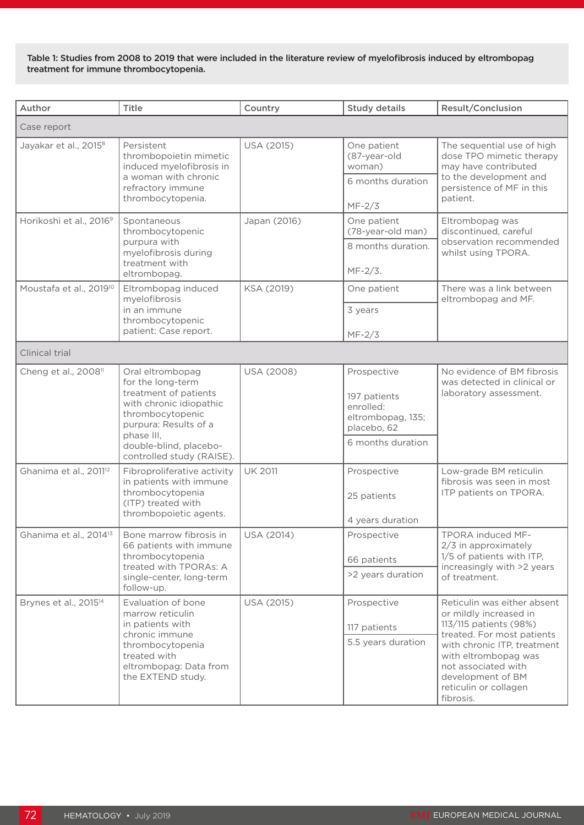Table 1: Studies from 2008 to 2019 that were included in the literature review of myelofibrosis induced by eltrombopag treatment for immune thrombocytopenia.

| Author                              | <b>Title</b>                                                                                                                                                                                                | Country        | <b>Study details</b>                                                                              | <b>Result/Conclusion</b>                                                                                                                                                                                                                               |  |  |
|-------------------------------------|-------------------------------------------------------------------------------------------------------------------------------------------------------------------------------------------------------------|----------------|---------------------------------------------------------------------------------------------------|--------------------------------------------------------------------------------------------------------------------------------------------------------------------------------------------------------------------------------------------------------|--|--|
| Case report                         |                                                                                                                                                                                                             |                |                                                                                                   |                                                                                                                                                                                                                                                        |  |  |
| Jayakar et al., 2015 <sup>8</sup>   | Persistent<br>thrombopoietin mimetic<br>induced myelofibrosis in<br>a woman with chronic<br>refractory immune<br>thrombocytopenia.                                                                          | USA (2015)     | One patient<br>(87-year-old<br>woman)<br>6 months duration<br>$MF-2/3$                            | The sequential use of high<br>dose TPO mimetic therapy<br>may have contributed<br>to the development and<br>persistence of MF in this<br>patient.                                                                                                      |  |  |
| Horikoshi et al., 2016 <sup>9</sup> | Spontaneous<br>thrombocytopenic<br>purpura with<br>myelofibrosis during<br>treatment with<br>eltrombopag.                                                                                                   | Japan (2016)   | One patient<br>(78-year-old man)<br>8 months duration.<br>MF-2/3.                                 | Eltrombopag was<br>discontinued, careful<br>observation recommended<br>whilst using TPORA.                                                                                                                                                             |  |  |
| Moustafa et al., 2019 <sup>10</sup> | Eltrombopag induced<br>myelofibrosis<br>in an immune<br>thrombocytopenic<br>patient: Case report.                                                                                                           | KSA (2019)     | One patient<br>3 years<br>$MF-2/3$                                                                | There was a link between<br>eltrombopag and MF.                                                                                                                                                                                                        |  |  |
| <b>Clinical trial</b>               |                                                                                                                                                                                                             |                |                                                                                                   |                                                                                                                                                                                                                                                        |  |  |
| Cheng et al., 2008 <sup>11</sup>    | Oral eltrombopag<br>for the long-term<br>treatment of patients<br>with chronic idiopathic<br>thrombocytopenic<br>purpura: Results of a<br>phase III,<br>double-blind, placebo-<br>controlled study (RAISE). | USA (2008)     | Prospective<br>197 patients<br>enrolled:<br>eltrombopag, 135;<br>placebo, 62<br>6 months duration | No evidence of BM fibrosis<br>was detected in clinical or<br>laboratory assessment.                                                                                                                                                                    |  |  |
| Ghanima et al., 2011 <sup>12</sup>  | Fibroproliferative activity<br>in patients with immune<br>thrombocytopenia<br>(ITP) treated with<br>thrombopoietic agents.                                                                                  | <b>UK 2011</b> | Prospective<br>25 patients<br>4 years duration                                                    | Low-grade BM reticulin<br>fibrosis was seen in most<br>ITP patients on TPORA.                                                                                                                                                                          |  |  |
| Ghanima et al., 2014 <sup>13</sup>  | Bone marrow fibrosis in<br>66 patients with immune<br>thrombocytopenia<br>treated with TPORAs: A<br>single-center, long-term<br>follow-up.                                                                  | USA (2014)     | Prospective<br>66 patients<br>>2 years duration                                                   | TPORA induced MF-<br>2/3 in approximately<br>1/5 of patients with ITP,<br>increasingly with >2 years<br>of treatment.                                                                                                                                  |  |  |
| Brynes et al., 2015 <sup>14</sup>   | Evaluation of bone<br>marrow reticulin<br>in patients with<br>chronic immune<br>thrombocytopenia<br>treated with<br>eltrombopag: Data from<br>the EXTEND study.                                             | USA (2015)     | Prospective<br>117 patients<br>5.5 years duration                                                 | Reticulin was either absent<br>or mildly increased in<br>113/115 patients (98%)<br>treated. For most patients<br>with chronic ITP, treatment<br>with eltrombopag was<br>not associated with<br>development of BM<br>reticulin or collagen<br>fibrosis. |  |  |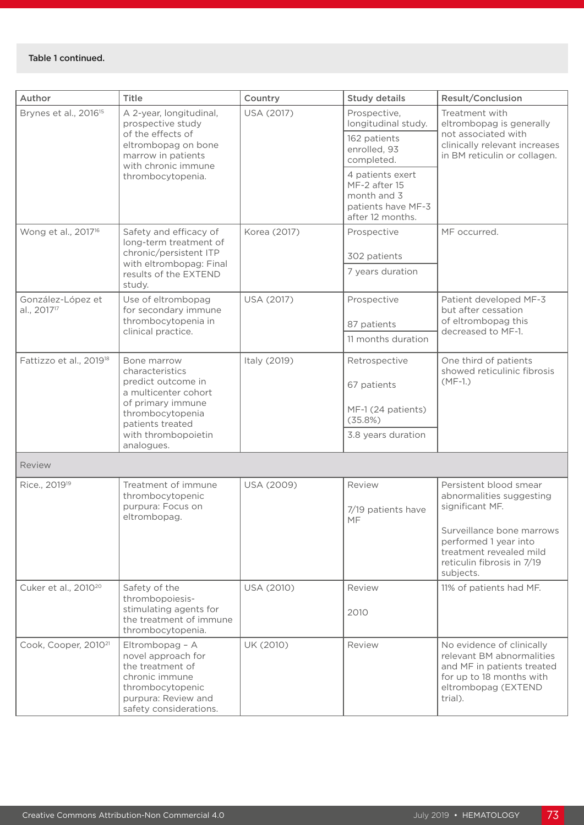#### Table 1 continued.

| Author                                       | Title                                                                                                                                                                          | Country      | <b>Study details</b>                                                                       | <b>Result/Conclusion</b>                                                                                                                           |
|----------------------------------------------|--------------------------------------------------------------------------------------------------------------------------------------------------------------------------------|--------------|--------------------------------------------------------------------------------------------|----------------------------------------------------------------------------------------------------------------------------------------------------|
| Brynes et al., 2016 <sup>15</sup>            | A 2-year, longitudinal,<br>prospective study<br>of the effects of<br>eltrombopag on bone<br>marrow in patients<br>with chronic immune<br>thrombocytopenia.                     | USA (2017)   | Prospective,<br>longitudinal study.<br>162 patients<br>enrolled, 93<br>completed.          | Treatment with<br>eltrombopag is generally<br>not associated with<br>clinically relevant increases<br>in BM reticulin or collagen.                 |
|                                              |                                                                                                                                                                                |              | 4 patients exert<br>MF-2 after 15<br>month and 3<br>patients have MF-3<br>after 12 months. |                                                                                                                                                    |
| Wong et al., 2017 <sup>16</sup>              | Safety and efficacy of<br>long-term treatment of<br>chronic/persistent ITP<br>with eltrombopag: Final<br>results of the EXTEND<br>study.                                       | Korea (2017) | Prospective                                                                                | MF occurred.                                                                                                                                       |
|                                              |                                                                                                                                                                                |              | 302 patients                                                                               |                                                                                                                                                    |
|                                              |                                                                                                                                                                                |              | 7 years duration                                                                           |                                                                                                                                                    |
| González-López et<br>al., 2017 <sup>17</sup> | Use of eltrombopag<br>for secondary immune                                                                                                                                     | USA (2017)   | Prospective                                                                                | Patient developed MF-3<br>but after cessation<br>of eltrombopag this<br>decreased to MF-1.                                                         |
|                                              | thrombocytopenia in<br>clinical practice.                                                                                                                                      |              | 87 patients                                                                                |                                                                                                                                                    |
|                                              |                                                                                                                                                                                |              | 11 months duration                                                                         |                                                                                                                                                    |
| Fattizzo et al., 2019 <sup>18</sup>          | Bone marrow<br>characteristics<br>predict outcome in<br>a multicenter cohort<br>of primary immune<br>thrombocytopenia<br>patients treated<br>with thrombopoietin<br>analogues. | Italy (2019) | Retrospective                                                                              | One third of patients<br>showed reticulinic fibrosis<br>$(MF-1.)$                                                                                  |
|                                              |                                                                                                                                                                                |              | 67 patients                                                                                |                                                                                                                                                    |
|                                              |                                                                                                                                                                                |              | MF-1 (24 patients)<br>(35.8%)                                                              |                                                                                                                                                    |
|                                              |                                                                                                                                                                                |              | 3.8 years duration                                                                         |                                                                                                                                                    |
| Review                                       |                                                                                                                                                                                |              |                                                                                            |                                                                                                                                                    |
| Rice., 2019 <sup>19</sup>                    | Treatment of immune<br>thrombocytopenic<br>purpura: Focus on<br>eltrombopag.                                                                                                   | USA (2009)   | Review<br>7/19 patients have<br>MF                                                         | Persistent blood smear<br>abnormalities suggesting<br>significant MF.                                                                              |
|                                              |                                                                                                                                                                                |              |                                                                                            | Surveillance bone marrows<br>performed 1 year into<br>treatment revealed mild<br>reticulin fibrosis in 7/19<br>subjects.                           |
| Cuker et al., 2010 <sup>20</sup>             | Safety of the<br>thrombopoiesis-                                                                                                                                               | USA (2010)   | Review                                                                                     | 11% of patients had MF.                                                                                                                            |
|                                              | stimulating agents for<br>the treatment of immune<br>thrombocytopenia.                                                                                                         |              | 2010                                                                                       |                                                                                                                                                    |
| Cook, Cooper, 2010 <sup>21</sup>             | Eltrombopag - A<br>novel approach for<br>the treatment of<br>chronic immune<br>thrombocytopenic<br>purpura: Review and<br>safety considerations.                               | UK (2010)    | Review                                                                                     | No evidence of clinically<br>relevant BM abnormalities<br>and MF in patients treated<br>for up to 18 months with<br>eltrombopag (EXTEND<br>trial). |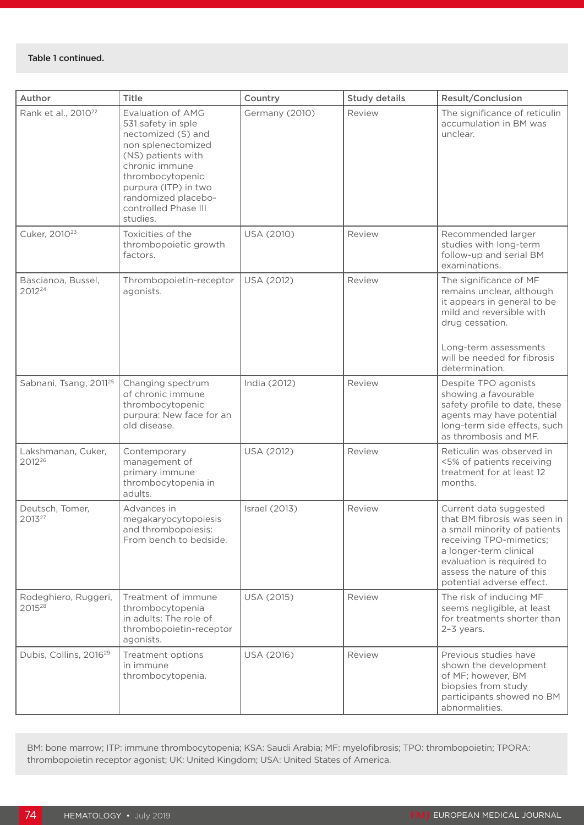| Author                                     | Title                                                                                                                                                                                                                              | Country        | <b>Study details</b> | <b>Result/Conclusion</b>                                                                                                                                                                                                           |
|--------------------------------------------|------------------------------------------------------------------------------------------------------------------------------------------------------------------------------------------------------------------------------------|----------------|----------------------|------------------------------------------------------------------------------------------------------------------------------------------------------------------------------------------------------------------------------------|
| Rank et al., 2010 <sup>22</sup>            | Evaluation of AMG<br>531 safety in sple<br>nectomized (S) and<br>non splenectomized<br>(NS) patients with<br>chronic immune<br>thrombocytopenic<br>purpura (ITP) in two<br>randomized placebo-<br>controlled Phase III<br>studies. | Germany (2010) | Review               | The significance of reticulin<br>accumulation in BM was<br>unclear.                                                                                                                                                                |
| Cuker, 2010 <sup>23</sup>                  | Toxicities of the<br>thrombopoietic growth<br>factors.                                                                                                                                                                             | USA (2010)     | Review               | Recommended larger<br>studies with long-term<br>follow-up and serial BM<br>examinations.                                                                                                                                           |
| Bascianoa, Bussel,<br>2012 <sup>24</sup>   | Thrombopoietin-receptor<br>agonists.                                                                                                                                                                                               | USA (2012)     | Review               | The significance of MF<br>remains unclear, although<br>it appears in general to be<br>mild and reversible with<br>drug cessation.<br>Long-term assessments<br>will be needed for fibrosis<br>determination.                        |
| Sabnani, Tsang, 2011 <sup>25</sup>         | Changing spectrum<br>of chronic immune<br>thrombocytopenic<br>purpura: New face for an<br>old disease.                                                                                                                             | India (2012)   | Review               | Despite TPO agonists<br>showing a favourable<br>safety profile to date, these<br>agents may have potential<br>long-term side effects, such<br>as thrombosis and MF.                                                                |
| Lakshmanan, Cuker,<br>2012 <sup>26</sup>   | Contemporary<br>management of<br>primary immune<br>thrombocytopenia in<br>adults.                                                                                                                                                  | USA (2012)     | Review               | Reticulin was observed in<br><5% of patients receiving<br>treatment for at least 12<br>months.                                                                                                                                     |
| Deutsch, Tomer,<br>2013 <sup>27</sup>      | Advances in<br>megakaryocytopoiesis<br>and thrombopoiesis:<br>From bench to bedside.                                                                                                                                               | Israel (2013)  | Review               | Current data suggested<br>that BM fibrosis was seen in<br>a small minority of patients<br>receiving TPO-mimetics;<br>a longer-term clinical<br>evaluation is required to<br>assess the nature of this<br>potential adverse effect. |
| Rodeghiero, Ruggeri,<br>2015 <sup>28</sup> | Treatment of immune<br>thrombocytopenia<br>in adults: The role of<br>thrombopoietin-receptor<br>agonists.                                                                                                                          | USA (2015)     | Review               | The risk of inducing MF<br>seems negligible, at least<br>for treatments shorter than<br>$2-3$ years.                                                                                                                               |
| Dubis, Collins, 2016 <sup>29</sup>         | Treatment options<br>in immune<br>thrombocytopenia.                                                                                                                                                                                | USA (2016)     | Review               | Previous studies have<br>shown the development<br>of MF; however, BM<br>biopsies from study<br>participants showed no BM<br>abnormalities.                                                                                         |

BM: bone marrow; ITP: immune thrombocytopenia; KSA: Saudi Arabia; MF: myelofibrosis; TPO: thrombopoietin; TPORA: thrombopoietin receptor agonist; UK: United Kingdom; USA: United States of America.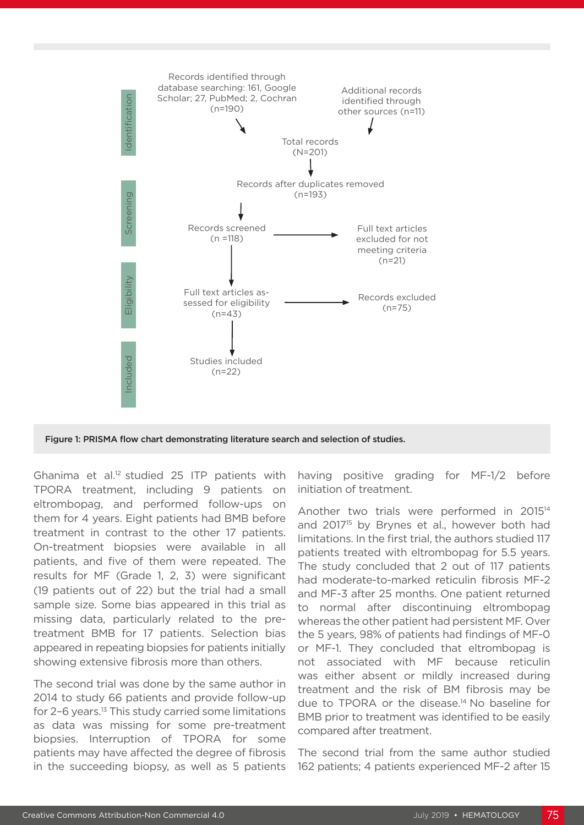

Figure 1: PRISMA flow chart demonstrating literature search and selection of studies.

Ghanima et al.12 studied 25 ITP patients with TPORA treatment, including 9 patients on eltrombopag, and performed follow-ups on them for 4 years. Eight patients had BMB before treatment in contrast to the other 17 patients. On-treatment biopsies were available in all patients, and five of them were repeated. The results for MF (Grade 1, 2, 3) were significant (19 patients out of 22) but the trial had a small sample size. Some bias appeared in this trial as missing data, particularly related to the pretreatment BMB for 17 patients. Selection bias appeared in repeating biopsies for patients initially showing extensive fibrosis more than others.

The second trial was done by the same author in 2014 to study 66 patients and provide follow-up for 2–6 years.13 This study carried some limitations as data was missing for some pre-treatment biopsies. Interruption of TPORA for some patients may have affected the degree of fibrosis in the succeeding biopsy, as well as 5 patients

having positive grading for MF-1/2 before initiation of treatment.

Another two trials were performed in 2015<sup>14</sup> and 2017<sup>15</sup> by Brynes et al., however both had limitations. In the first trial, the authors studied 117 patients treated with eltrombopag for 5.5 years. The study concluded that 2 out of 117 patients had moderate-to-marked reticulin fibrosis MF-2 and MF-3 after 25 months. One patient returned to normal after discontinuing eltrombopag whereas the other patient had persistent MF. Over the 5 years, 98% of patients had findings of MF-0 or MF-1. They concluded that eltrombopag is not associated with MF because reticulin was either absent or mildly increased during treatment and the risk of BM fibrosis may be due to TPORA or the disease.14 No baseline for BMB prior to treatment was identified to be easily compared after treatment.

The second trial from the same author studied 162 patients; 4 patients experienced MF-2 after 15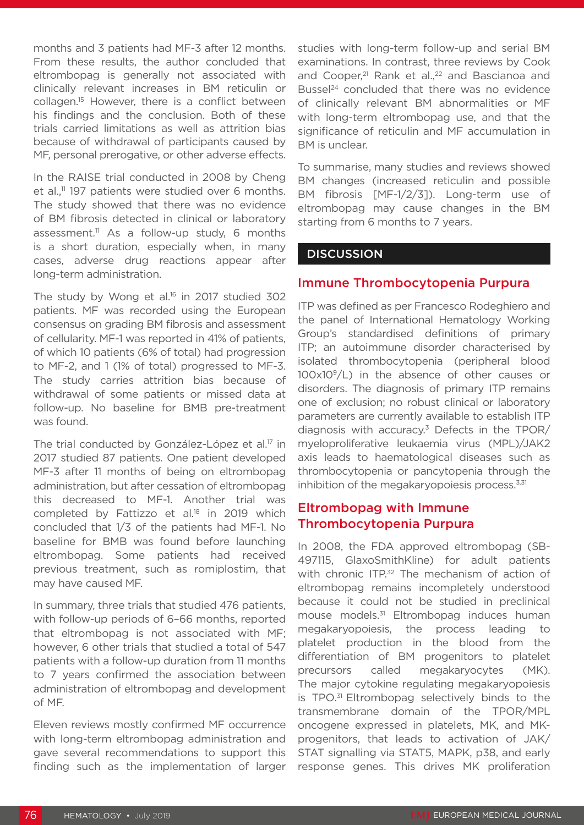months and 3 patients had MF-3 after 12 months. From these results, the author concluded that eltrombopag is generally not associated with clinically relevant increases in BM reticulin or collagen.15 However, there is a conflict between his findings and the conclusion. Both of these trials carried limitations as well as attrition bias because of withdrawal of participants caused by MF, personal prerogative, or other adverse effects.

In the RAISE trial conducted in 2008 by Cheng et al.,<sup>11</sup> 197 patients were studied over 6 months. The study showed that there was no evidence of BM fibrosis detected in clinical or laboratory assessment.<sup>11</sup> As a follow-up study, 6 months is a short duration, especially when, in many cases, adverse drug reactions appear after long-term administration.

The study by Wong et al.<sup>16</sup> in 2017 studied 302 patients. MF was recorded using the European consensus on grading BM fibrosis and assessment of cellularity. MF-1 was reported in 41% of patients, of which 10 patients (6% of total) had progression to MF-2, and 1 (1% of total) progressed to MF-3. The study carries attrition bias because of withdrawal of some patients or missed data at follow-up. No baseline for BMB pre-treatment was found.

The trial conducted by González-López et al.<sup>17</sup> in 2017 studied 87 patients. One patient developed MF-3 after 11 months of being on eltrombopag administration, but after cessation of eltrombopag this decreased to MF-1. Another trial was completed by Fattizzo et al.<sup>18</sup> in 2019 which concluded that 1/3 of the patients had MF-1. No baseline for BMB was found before launching eltrombopag. Some patients had received previous treatment, such as romiplostim, that may have caused MF.

In summary, three trials that studied 476 patients, with follow-up periods of 6–66 months, reported that eltrombopag is not associated with MF; however, 6 other trials that studied a total of 547 patients with a follow-up duration from 11 months to 7 years confirmed the association between administration of eltrombopag and development of MF.

Eleven reviews mostly confirmed MF occurrence with long-term eltrombopag administration and gave several recommendations to support this finding such as the implementation of larger studies with long-term follow-up and serial BM examinations. In contrast, three reviews by Cook and Cooper,<sup>21</sup> Rank et al.,<sup>22</sup> and Bascianoa and Bussel<sup>24</sup> concluded that there was no evidence of clinically relevant BM abnormalities or MF with long-term eltrombopag use, and that the significance of reticulin and MF accumulation in BM is unclear.

To summarise, many studies and reviews showed BM changes (increased reticulin and possible BM fibrosis [MF-1/2/3]). Long-term use of eltrombopag may cause changes in the BM starting from 6 months to 7 years.

#### **DISCUSSION**

#### Immune Thrombocytopenia Purpura

ITP was defined as per Francesco Rodeghiero and the panel of International Hematology Working Group's standardised definitions of primary ITP; an autoimmune disorder characterised by isolated thrombocytopenia (peripheral blood 100x109/L) in the absence of other causes or disorders. The diagnosis of primary ITP remains one of exclusion; no robust clinical or laboratory parameters are currently available to establish ITP diagnosis with accuracy.3 Defects in the TPOR/ myeloproliferative leukaemia virus (MPL)/JAK2 axis leads to haematological diseases such as thrombocytopenia or pancytopenia through the inhibition of the megakaryopoiesis process. $3,31$ 

### Eltrombopag with Immune Thrombocytopenia Purpura

In 2008, the FDA approved eltrombopag (SB-497115, GlaxoSmithKline) for adult patients with chronic ITP.<sup>32</sup> The mechanism of action of eltrombopag remains incompletely understood because it could not be studied in preclinical mouse models.31 Eltrombopag induces human megakaryopoiesis, the process leading to platelet production in the blood from the differentiation of BM progenitors to platelet precursors called megakaryocytes (MK). The major cytokine regulating megakaryopoiesis is TPO.31 Eltrombopag selectively binds to the transmembrane domain of the TPOR/MPL oncogene expressed in platelets, MK, and MKprogenitors, that leads to activation of JAK/ STAT signalling via STAT5, MAPK, p38, and early response genes. This drives MK proliferation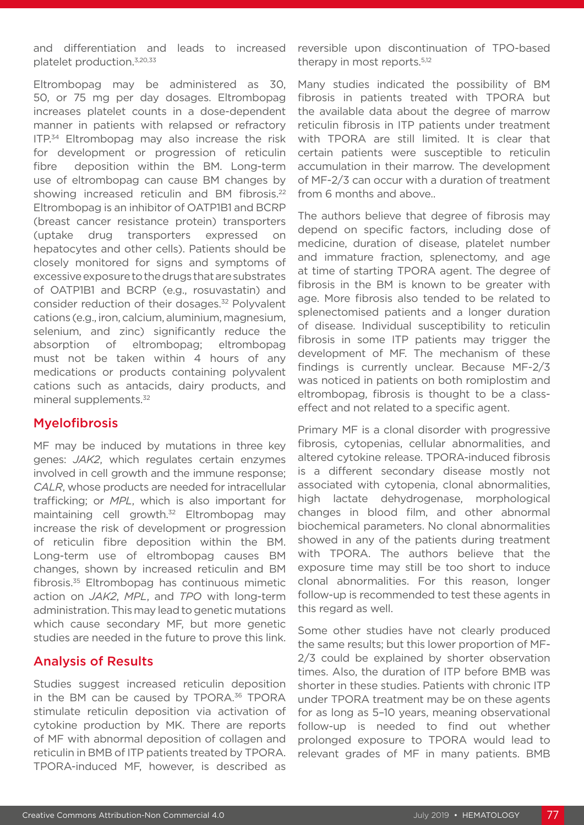and differentiation and leads to increased platelet production.3,20,33

Eltrombopag may be administered as 30, 50, or 75 mg per day dosages. Eltrombopag increases platelet counts in a dose-dependent manner in patients with relapsed or refractory ITP.<sup>34</sup> Eltrombopag may also increase the risk for development or progression of reticulin fibre deposition within the BM. Long-term use of eltrombopag can cause BM changes by showing increased reticulin and BM fibrosis.<sup>22</sup> Eltrombopag is an inhibitor of OATP1B1 and BCRP (breast cancer resistance protein) transporters (uptake drug transporters expressed on hepatocytes and other cells). Patients should be closely monitored for signs and symptoms of excessive exposure to the drugs that are substrates of OATP1B1 and BCRP (e.g., rosuvastatin) and consider reduction of their dosages.<sup>32</sup> Polyvalent cations (e.g., iron, calcium, aluminium, magnesium, selenium, and zinc) significantly reduce the absorption of eltrombopag; eltrombopag must not be taken within 4 hours of any medications or products containing polyvalent cations such as antacids, dairy products, and mineral supplements.<sup>32</sup>

#### Myelofibrosis

MF may be induced by mutations in three key genes: *JAK2*, which regulates certain enzymes involved in cell growth and the immune response; *CALR*, whose products are needed for intracellular trafficking; or *MPL*, which is also important for maintaining cell growth.<sup>32</sup> Eltrombopag may increase the risk of development or progression of reticulin fibre deposition within the BM. Long-term use of eltrombopag causes BM changes, shown by increased reticulin and BM fibrosis.35 Eltrombopag has continuous mimetic action on *JAK2*, *MPL*, and *TPO* with long-term administration. This may lead to genetic mutations which cause secondary MF, but more genetic studies are needed in the future to prove this link.

### Analysis of Results

Studies suggest increased reticulin deposition in the BM can be caused by TPORA.<sup>36</sup> TPORA stimulate reticulin deposition via activation of cytokine production by MK. There are reports of MF with abnormal deposition of collagen and reticulin in BMB of ITP patients treated by TPORA. TPORA-induced MF, however, is described as reversible upon discontinuation of TPO-based therapy in most reports.<sup>5,12</sup>

Many studies indicated the possibility of BM fibrosis in patients treated with TPORA but the available data about the degree of marrow reticulin fibrosis in ITP patients under treatment with TPORA are still limited. It is clear that certain patients were susceptible to reticulin accumulation in their marrow. The development of MF-2/3 can occur with a duration of treatment from 6 months and above..

The authors believe that degree of fibrosis may depend on specific factors, including dose of medicine, duration of disease, platelet number and immature fraction, splenectomy, and age at time of starting TPORA agent. The degree of fibrosis in the BM is known to be greater with age. More fibrosis also tended to be related to splenectomised patients and a longer duration of disease. Individual susceptibility to reticulin fibrosis in some ITP patients may trigger the development of MF. The mechanism of these findings is currently unclear. Because MF-2/3 was noticed in patients on both romiplostim and eltrombopag, fibrosis is thought to be a classeffect and not related to a specific agent.

Primary MF is a clonal disorder with progressive fibrosis, cytopenias, cellular abnormalities, and altered cytokine release. TPORA-induced fibrosis is a different secondary disease mostly not associated with cytopenia, clonal abnormalities, high lactate dehydrogenase, morphological changes in blood film, and other abnormal biochemical parameters. No clonal abnormalities showed in any of the patients during treatment with TPORA. The authors believe that the exposure time may still be too short to induce clonal abnormalities. For this reason, longer follow-up is recommended to test these agents in this regard as well.

Some other studies have not clearly produced the same results; but this lower proportion of MF-2/3 could be explained by shorter observation times. Also, the duration of ITP before BMB was shorter in these studies. Patients with chronic ITP under TPORA treatment may be on these agents for as long as 5–10 years, meaning observational follow-up is needed to find out whether prolonged exposure to TPORA would lead to relevant grades of MF in many patients. BMB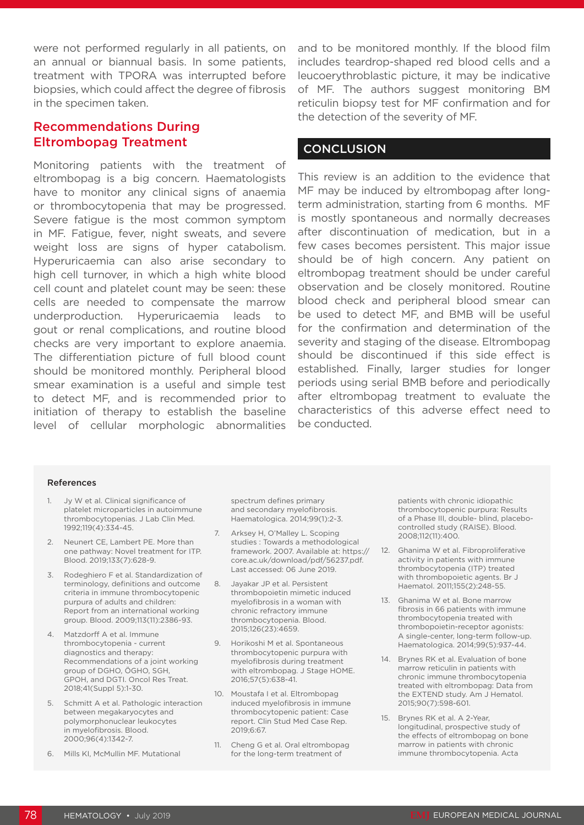were not performed regularly in all patients, on an annual or biannual basis. In some patients, treatment with TPORA was interrupted before biopsies, which could affect the degree of fibrosis in the specimen taken.

## Recommendations During Eltrombopag Treatment

Monitoring patients with the treatment of eltrombopag is a big concern. Haematologists have to monitor any clinical signs of anaemia or thrombocytopenia that may be progressed. Severe fatigue is the most common symptom in MF. Fatigue, fever, night sweats, and severe weight loss are signs of hyper catabolism. Hyperuricaemia can also arise secondary to high cell turnover, in which a high white blood cell count and platelet count may be seen: these cells are needed to compensate the marrow underproduction. Hyperuricaemia leads to gout or renal complications, and routine blood checks are very important to explore anaemia. The differentiation picture of full blood count should be monitored monthly. Peripheral blood smear examination is a useful and simple test to detect MF, and is recommended prior to initiation of therapy to establish the baseline level of cellular morphologic abnormalities

and to be monitored monthly. If the blood film includes teardrop-shaped red blood cells and a leucoerythroblastic picture, it may be indicative of MF. The authors suggest monitoring BM reticulin biopsy test for MF confirmation and for the detection of the severity of MF.

#### **CONCLUSION**

This review is an addition to the evidence that MF may be induced by eltrombopag after longterm administration, starting from 6 months. MF is mostly spontaneous and normally decreases after discontinuation of medication, but in a few cases becomes persistent. This major issue should be of high concern. Any patient on eltrombopag treatment should be under careful observation and be closely monitored. Routine blood check and peripheral blood smear can be used to detect MF, and BMB will be useful for the confirmation and determination of the severity and staging of the disease. Eltrombopag should be discontinued if this side effect is established. Finally, larger studies for longer periods using serial BMB before and periodically after eltrombopag treatment to evaluate the characteristics of this adverse effect need to be conducted.

#### References

- 1. Jy W et al. Clinical significance of platelet microparticles in autoimmune thrombocytopenias. J Lab Clin Med. 1992;119(4):334-45.
- 2. Neunert CE, Lambert PE. More than one pathway: Novel treatment for ITP. Blood. 2019;133(7):628-9.
- 3. Rodeghiero F et al. Standardization of terminology, definitions and outcome criteria in immune thrombocytopenic purpura of adults and children: Report from an international working group. Blood. 2009;113(11):2386-93.
- 4. Matzdorff A et al. Immune thrombocytopenia - current diagnostics and therapy: Recommendations of a joint working group of DGHO, ÖGHO, SGH, GPOH, and DGTI. Oncol Res Treat. 2018;41(Suppl 5):1-30.
- 5. Schmitt A et al. Pathologic interaction between megakaryocytes and polymorphonuclear leukocytes in myelofibrosis. Blood. 2000;96(4):1342-7.
- 6. Mills KI, McMullin MF. Mutational

spectrum defines primary and secondary myelofibrosis. Haematologica. 2014;99(1):2-3.

- 7. Arksey H, O'Malley L. Scoping studies : Towards a methodological framework. 2007. Available at: https:// core.ac.uk/download/pdf/56237.pdf. Last accessed: 06 June 2019.
- 8. Jayakar JP et al. Persistent thrombopoietin mimetic induced myelofibrosis in a woman with chronic refractory immune thrombocytopenia. Blood. 2015;126(23):4659.
- 9. Horikoshi M et al. Spontaneous thrombocytopenic purpura with myelofibrosis during treatment with eltrombopag. J Stage HOME. 2016;57(5):638-41.
- 10. Moustafa I et al. Eltrombopag induced myelofibrosis in immune thrombocytopenic patient: Case report. Clin Stud Med Case Rep. 2019;6:67.
- 11. Cheng G et al. Oral eltrombopag for the long-term treatment of

patients with chronic idiopathic thrombocytopenic purpura: Results of a Phase III, double- blind, placebocontrolled study (RAISE). Blood. 2008;112(11):400.

- 12. Ghanima W et al. Fibroproliferative activity in patients with immune thrombocytopenia (ITP) treated with thrombopoietic agents. Br J Haematol. 2011;155(2):248-55.
- 13. Ghanima W et al. Bone marrow fibrosis in 66 patients with immune thrombocytopenia treated with thrombopoietin-receptor agonists: A single-center, long-term follow-up. Haematologica. 2014;99(5):937-44.
- 14. Brynes RK et al. Evaluation of bone marrow reticulin in patients with chronic immune thrombocytopenia treated with eltrombopag: Data from the EXTEND study. Am J Hematol. 2015;90(7):598-601.
- 15. Brynes RK et al. A 2-Year, longitudinal, prospective study of the effects of eltrombopag on bone marrow in patients with chronic immune thrombocytopenia. Acta